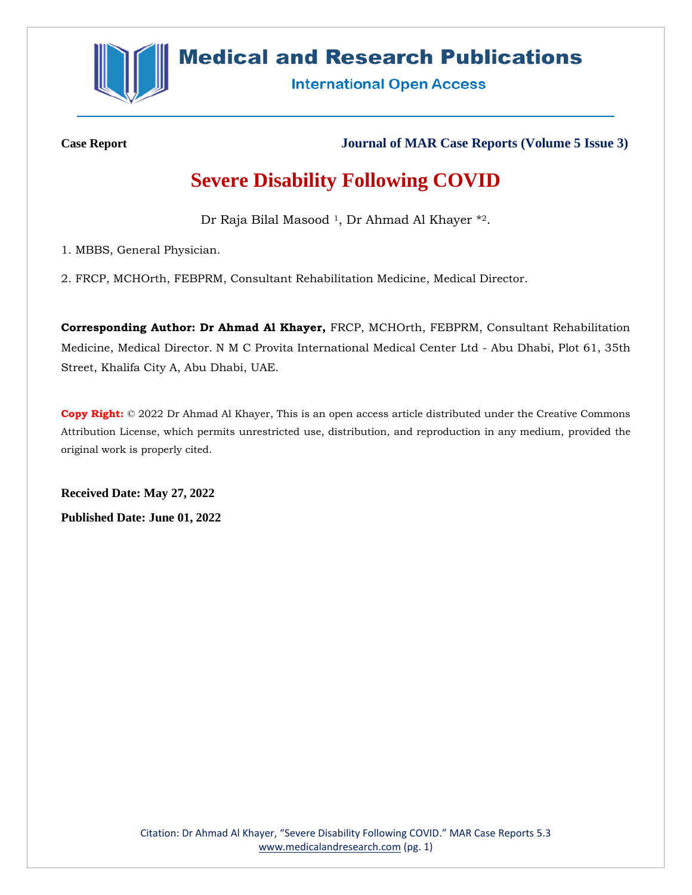

## **Medical and Research Publications**

**International Open Access** 

**Case Report Journal of MAR Case Reports (Volume 5 Issue 3)**

# **Severe Disability Following COVID**

Dr Raja Bilal Masood<sup>1</sup>, Dr Ahmad Al Khayer \*2.

1. MBBS, General Physician.

2. FRCP, MCHOrth, FEBPRM, Consultant Rehabilitation Medicine, Medical Director.

**Corresponding Author: Dr Ahmad Al Khayer,** FRCP, MCHOrth, FEBPRM, Consultant Rehabilitation Medicine, Medical Director. N M C Provita International Medical Center Ltd - Abu Dhabi, Plot 61, 35th Street, Khalifa City A, Abu Dhabi, UAE.

**Copy Right:** © 2022 Dr Ahmad Al Khayer, This is an open access article distributed under the Creative Commons Attribution License, which permits unrestricted use, distribution, and reproduction in any medium, provided the original work is properly cited.

**Received Date: May 27, 2022 Published Date: June 01, 2022**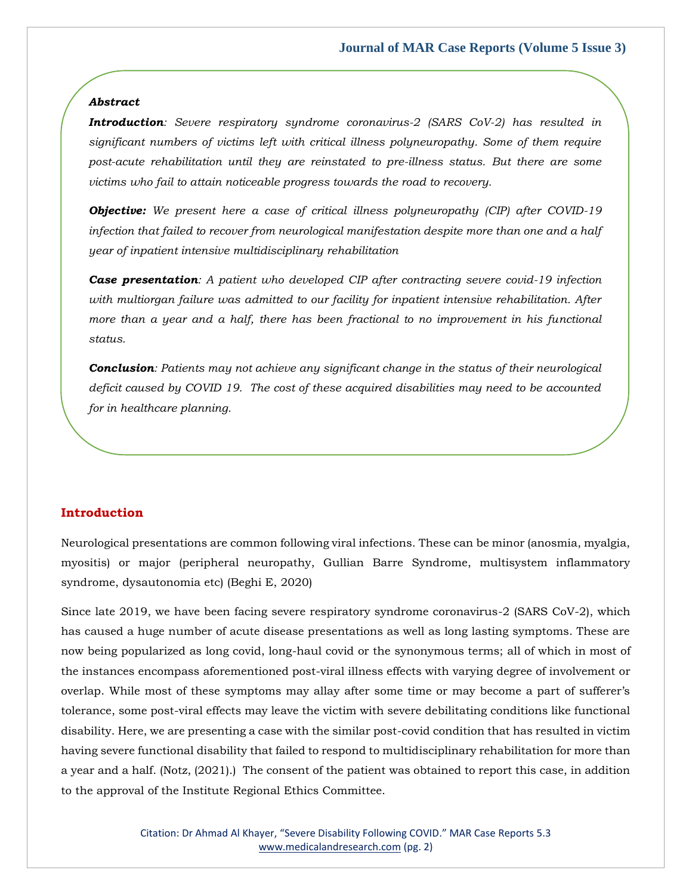#### *Abstract*

*Introduction: Severe respiratory syndrome coronavirus-2 (SARS CoV-2) has resulted in significant numbers of victims left with critical illness polyneuropathy. Some of them require post-acute rehabilitation until they are reinstated to pre-illness status. But there are some victims who fail to attain noticeable progress towards the road to recovery.*

*Objective: We present here a case of critical illness polyneuropathy (CIP) after COVID-19 infection that failed to recover from neurological manifestation despite more than one and a half year of inpatient intensive multidisciplinary rehabilitation* 

*Case presentation: A patient who developed CIP after contracting severe covid-19 infection with multiorgan failure was admitted to our facility for inpatient intensive rehabilitation. After more than a year and a half, there has been fractional to no improvement in his functional status.*

*Conclusion: Patients may not achieve any significant change in the status of their neurological deficit caused by COVID 19. The cost of these acquired disabilities may need to be accounted for in healthcare planning.*

### **Introduction**

Neurological presentations are common following viral infections. These can be minor (anosmia, myalgia, myositis) or major (peripheral neuropathy, Gullian Barre Syndrome, multisystem inflammatory syndrome, dysautonomia etc) (Beghi E, 2020)

Since late 2019, we have been facing severe respiratory syndrome coronavirus-2 (SARS CoV-2), which has caused a huge number of acute disease presentations as well as long lasting symptoms. These are now being popularized as long covid, long-haul covid or the synonymous terms; all of which in most of the instances encompass aforementioned post-viral illness effects with varying degree of involvement or overlap. While most of these symptoms may allay after some time or may become a part of sufferer's tolerance, some post-viral effects may leave the victim with severe debilitating conditions like functional disability. Here, we are presenting a case with the similar post-covid condition that has resulted in victim having severe functional disability that failed to respond to multidisciplinary rehabilitation for more than a year and a half. (Notz, (2021).) The consent of the patient was obtained to report this case, in addition to the approval of the Institute Regional Ethics Committee.

> Citation: Dr Ahmad Al Khayer, "Severe Disability Following COVID." MAR Case Reports 5.3 [www.medicalandresearch.com](http://www.medicalandresearch.com/) (pg. 2)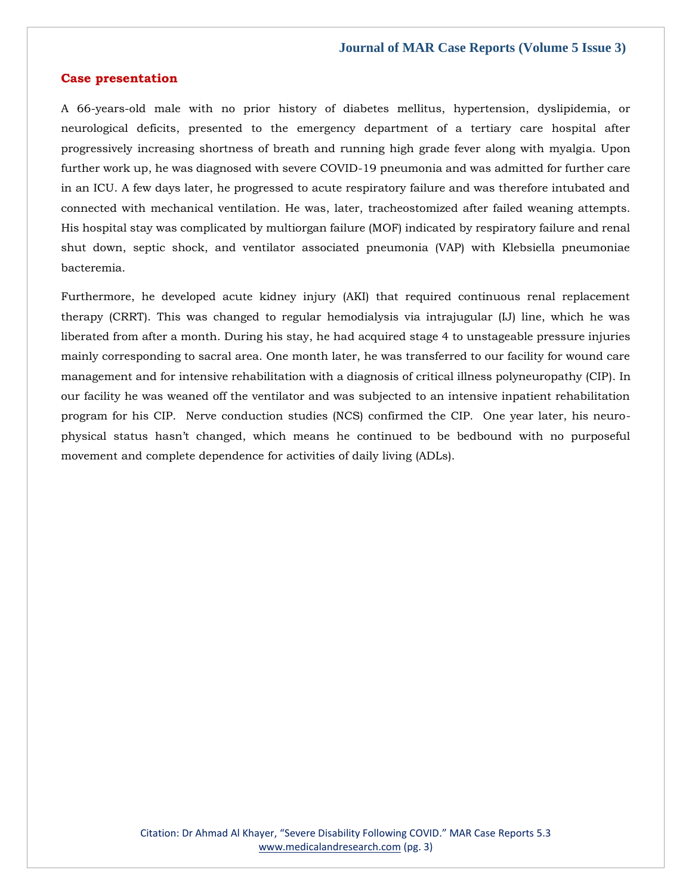## **Case presentation**

A 66-years-old male with no prior history of diabetes mellitus, hypertension, dyslipidemia, or neurological deficits, presented to the emergency department of a tertiary care hospital after progressively increasing shortness of breath and running high grade fever along with myalgia. Upon further work up, he was diagnosed with severe COVID-19 pneumonia and was admitted for further care in an ICU. A few days later, he progressed to acute respiratory failure and was therefore intubated and connected with mechanical ventilation. He was, later, tracheostomized after failed weaning attempts. His hospital stay was complicated by multiorgan failure (MOF) indicated by respiratory failure and renal shut down, septic shock, and ventilator associated pneumonia (VAP) with Klebsiella pneumoniae bacteremia.

Furthermore, he developed acute kidney injury (AKI) that required continuous renal replacement therapy (CRRT). This was changed to regular hemodialysis via intrajugular (IJ) line, which he was liberated from after a month. During his stay, he had acquired stage 4 to unstageable pressure injuries mainly corresponding to sacral area. One month later, he was transferred to our facility for wound care management and for intensive rehabilitation with a diagnosis of critical illness polyneuropathy (CIP). In our facility he was weaned off the ventilator and was subjected to an intensive inpatient rehabilitation program for his CIP. Nerve conduction studies (NCS) confirmed the CIP. One year later, his neurophysical status hasn't changed, which means he continued to be bedbound with no purposeful movement and complete dependence for activities of daily living (ADLs).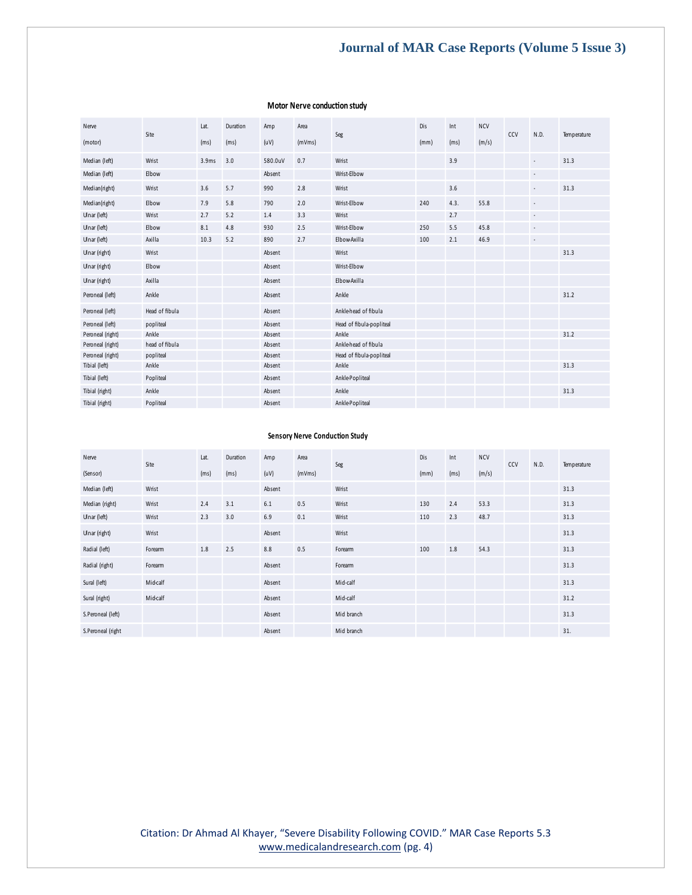## **Journal of MAR Case Reports (Volume 5 Issue 3)**

| Nerve            | Site           | Lat.  | Duration          | Amp     | Area   | Seg                      | Dis  | Int  | <b>NCV</b> | CCV | N.D.                     | Temperature |
|------------------|----------------|-------|-------------------|---------|--------|--------------------------|------|------|------------|-----|--------------------------|-------------|
| (motor)          |                | (ms)  | (m <sub>S</sub> ) | (uV)    | (mVms) |                          | (mm) | (ms) | (m/s)      |     |                          |             |
| Median (left)    | Wrist          | 3.9ms | 3.0               | 580.0uV | 0.7    | Wrist                    |      | 3.9  |            |     | $\overline{\phantom{a}}$ | 31.3        |
| Median (left)    | Elbow          |       |                   | Absent  |        | Wrist-Elbow              |      |      |            |     | $\overline{\phantom{a}}$ |             |
| Median(right)    | Wrist          | 3.6   | 5.7               | 990     | 2.8    | Wrist                    |      | 3.6  |            |     | $\overline{\phantom{a}}$ | 31.3        |
| Median(right)    | Elbow          | 7.9   | 5.8               | 790     | 2.0    | Wrist-Elbow              | 240  | 4.3. | 55.8       |     | $\overline{\phantom{a}}$ |             |
| Ulnar (left)     | Wrist          | 2.7   | 5.2               | 1.4     | 3.3    | Wrist                    |      | 2.7  |            |     | $\overline{\phantom{a}}$ |             |
| Ulnar (left)     | Elbow          | 8.1   | 4.8               | 930     | 2.5    | Wrist-Elbow              | 250  | 5.5  | 45.8       |     | $\overline{\phantom{a}}$ |             |
| Ulnar (left)     | Axilla         | 10.3  | 5.2               | 890     | 2.7    | Elbow-Axilla             | 100  | 2.1  | 46.9       |     | $\overline{\phantom{a}}$ |             |
| Ulnar (right)    | Wrist          |       |                   | Absent  |        | Wrist                    |      |      |            |     |                          | 31.3        |
| Ulnar (right)    | Elbow          |       |                   | Absent  |        | Wrist-Elbow              |      |      |            |     |                          |             |
| Ulnar (right)    | Axilla         |       |                   | Absent  |        | Elbow-Axilla             |      |      |            |     |                          |             |
| Peroneal (left)  | Ankle          |       |                   | Absent  |        | Ankle                    |      |      |            |     |                          | 31.2        |
| Peroneal (left)  | Head of fibula |       |                   | Absent  |        | Anklehead of fibula      |      |      |            |     |                          |             |
| Peroneal (left)  | popliteal      |       |                   | Absent  |        | Head of fibula-popliteal |      |      |            |     |                          |             |
| Peroneal (right) | Ankle          |       |                   | Absent  |        | Ankle                    |      |      |            |     |                          | 31.2        |
| Peroneal (right) | head of fibula |       |                   | Absent  |        | Anklehead of fibula      |      |      |            |     |                          |             |
| Peroneal (right) | popliteal      |       |                   | Absent  |        | Head of fibula-popliteal |      |      |            |     |                          |             |
| Tibial (left)    | Ankle          |       |                   | Absent  |        | Ankle                    |      |      |            |     |                          | 31.3        |
| Tibial (left)    | Popliteal      |       |                   | Absent  |        | AnklePopliteal           |      |      |            |     |                          |             |
| Tibial (right)   | Ankle          |       |                   | Absent  |        | Ankle                    |      |      |            |     |                          | 31.3        |
| Tibial (right)   | Popliteal      |       |                   | Absent  |        | AnklePopliteal           |      |      |            |     |                          |             |

### **Motor Nerve conduction study**

#### **Sensory Nerve Conduction Study**

| Nerve             | Site     | Lat. | Duration | Amp    | Area   | Seg        | Dis  | Int  | <b>NCV</b> | CCV | N.D. | Temperature |
|-------------------|----------|------|----------|--------|--------|------------|------|------|------------|-----|------|-------------|
| (Sensor)          |          | (ms) | (ms)     | (uV)   | (mVms) |            | (mm) | (ms) | (m/s)      |     |      |             |
| Median (left)     | Wrist    |      |          | Absent |        | Wrist      |      |      |            |     |      | 31.3        |
| Median (right)    | Wrist    | 2.4  | 3.1      | 6.1    | 0.5    | Wrist      | 130  | 2.4  | 53.3       |     |      | 31.3        |
| Ulnar (left)      | Wrist    | 2.3  | 3.0      | 6.9    | 0.1    | Wrist      | 110  | 2.3  | 48.7       |     |      | 31.3        |
| Ulnar (right)     | Wrist    |      |          | Absent |        | Wrist      |      |      |            |     |      | 31.3        |
| Radial (left)     | Forearm  | 1.8  | 2.5      | 8.8    | 0.5    | Forearm    | 100  | 1.8  | 54.3       |     |      | 31.3        |
| Radial (right)    | Forearm  |      |          | Absent |        | Forearm    |      |      |            |     |      | 31.3        |
| Sural (left)      | Mid-calf |      |          | Absent |        | Mid-calf   |      |      |            |     |      | 31.3        |
| Sural (right)     | Mid-calf |      |          | Absent |        | Mid-calf   |      |      |            |     |      | 31.2        |
| S.Peroneal (left) |          |      |          | Absent |        | Mid branch |      |      |            |     |      | 31.3        |
| S.Peroneal (right |          |      |          | Absent |        | Mid branch |      |      |            |     |      | 31.         |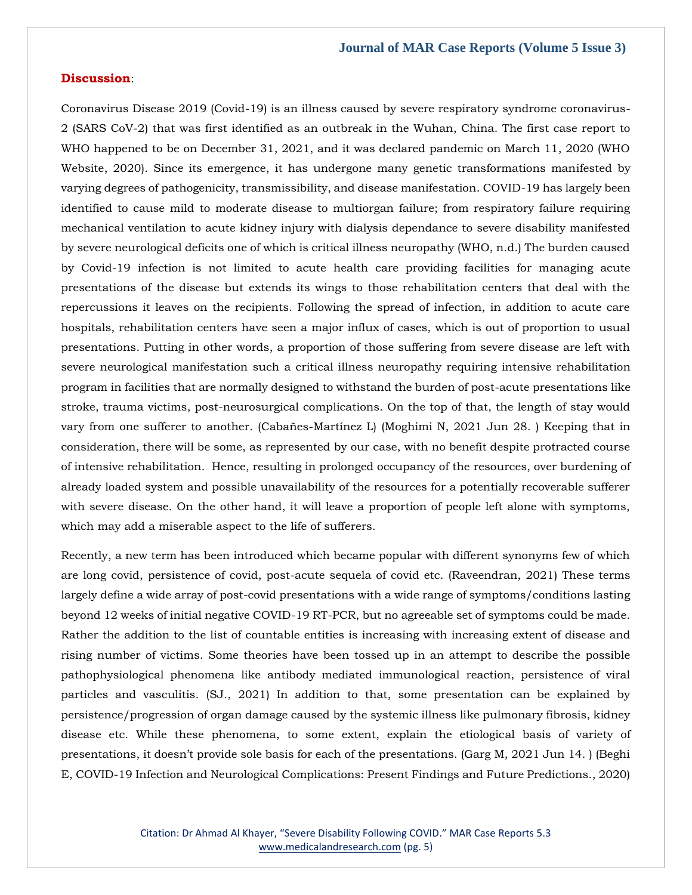## **Discussion**:

Coronavirus Disease 2019 (Covid-19) is an illness caused by severe respiratory syndrome coronavirus-2 (SARS CoV-2) that was first identified as an outbreak in the Wuhan, China. The first case report to WHO happened to be on December 31, 2021, and it was declared pandemic on March 11, 2020 (WHO Website, 2020). Since its emergence, it has undergone many genetic transformations manifested by varying degrees of pathogenicity, transmissibility, and disease manifestation. COVID-19 has largely been identified to cause mild to moderate disease to multiorgan failure; from respiratory failure requiring mechanical ventilation to acute kidney injury with dialysis dependance to severe disability manifested by severe neurological deficits one of which is critical illness neuropathy (WHO, n.d.) The burden caused by Covid-19 infection is not limited to acute health care providing facilities for managing acute presentations of the disease but extends its wings to those rehabilitation centers that deal with the repercussions it leaves on the recipients. Following the spread of infection, in addition to acute care hospitals, rehabilitation centers have seen a major influx of cases, which is out of proportion to usual presentations. Putting in other words, a proportion of those suffering from severe disease are left with severe neurological manifestation such a critical illness neuropathy requiring intensive rehabilitation program in facilities that are normally designed to withstand the burden of post-acute presentations like stroke, trauma victims, post-neurosurgical complications. On the top of that, the length of stay would vary from one sufferer to another. (Cabañes-Martínez L) (Moghimi N, 2021 Jun 28. ) Keeping that in consideration, there will be some, as represented by our case, with no benefit despite protracted course of intensive rehabilitation. Hence, resulting in prolonged occupancy of the resources, over burdening of already loaded system and possible unavailability of the resources for a potentially recoverable sufferer with severe disease. On the other hand, it will leave a proportion of people left alone with symptoms, which may add a miserable aspect to the life of sufferers.

Recently, a new term has been introduced which became popular with different synonyms few of which are long covid, persistence of covid, post-acute sequela of covid etc. (Raveendran, 2021) These terms largely define a wide array of post-covid presentations with a wide range of symptoms/conditions lasting beyond 12 weeks of initial negative COVID-19 RT-PCR, but no agreeable set of symptoms could be made. Rather the addition to the list of countable entities is increasing with increasing extent of disease and rising number of victims. Some theories have been tossed up in an attempt to describe the possible pathophysiological phenomena like antibody mediated immunological reaction, persistence of viral particles and vasculitis. (SJ., 2021) In addition to that, some presentation can be explained by persistence/progression of organ damage caused by the systemic illness like pulmonary fibrosis, kidney disease etc. While these phenomena, to some extent, explain the etiological basis of variety of presentations, it doesn't provide sole basis for each of the presentations. (Garg M, 2021 Jun 14. ) (Beghi E, COVID-19 Infection and Neurological Complications: Present Findings and Future Predictions., 2020)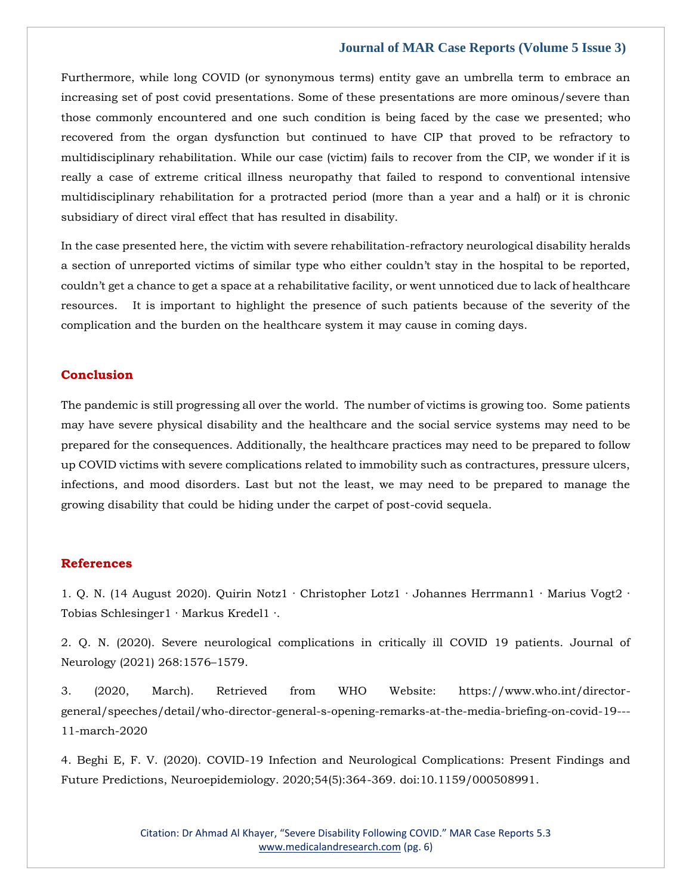## **Journal of MAR Case Reports (Volume 5 Issue 3)**

Furthermore, while long COVID (or synonymous terms) entity gave an umbrella term to embrace an increasing set of post covid presentations. Some of these presentations are more ominous/severe than those commonly encountered and one such condition is being faced by the case we presented; who recovered from the organ dysfunction but continued to have CIP that proved to be refractory to multidisciplinary rehabilitation. While our case (victim) fails to recover from the CIP, we wonder if it is really a case of extreme critical illness neuropathy that failed to respond to conventional intensive multidisciplinary rehabilitation for a protracted period (more than a year and a half) or it is chronic subsidiary of direct viral effect that has resulted in disability.

In the case presented here, the victim with severe rehabilitation-refractory neurological disability heralds a section of unreported victims of similar type who either couldn't stay in the hospital to be reported, couldn't get a chance to get a space at a rehabilitative facility, or went unnoticed due to lack of healthcare resources. It is important to highlight the presence of such patients because of the severity of the complication and the burden on the healthcare system it may cause in coming days.

## **Conclusion**

The pandemic is still progressing all over the world. The number of victims is growing too. Some patients may have severe physical disability and the healthcare and the social service systems may need to be prepared for the consequences. Additionally, the healthcare practices may need to be prepared to follow up COVID victims with severe complications related to immobility such as contractures, pressure ulcers, infections, and mood disorders. Last but not the least, we may need to be prepared to manage the growing disability that could be hiding under the carpet of post-covid sequela.

## **References**

1. [Q. N. \(14 August 2020\). Quirin Notz1 · Christopher Lotz1 · Johannes Herrmann1 · Marius Vogt2 ·](https://www.google.com/search?q=Quirin+Notz1+%C2%B7+Christopher+Lotz1+%C2%B7+Johannes+Herrmann1+%C2%B7+Marius+Vogt2+%C2%B7+Tobias+Schlesinger1+%C2%B7+Markus+Kredel1+%C2%B7.&sxsrf=ALiCzsam6qZKKg9faqsXFi_dPhtY4IZrjQ%3A1653892865905&ei=AWeUYqXsNpjt2roP1NOJkA0&ved=0ahUKEwjl8JKGz4b4AhWYtlYBHdRpAtIQ4dUDCA4&oq=Quirin+Notz1+%C2%B7+Christopher+Lotz1+%C2%B7+Johannes+Herrmann1+%C2%B7+Marius+Vogt2+%C2%B7+Tobias+Schlesinger1+%C2%B7+Markus+Kredel1+%C2%B7.&gs_lcp=Cgdnd3Mtd2l6EAwyBwgjEOoCECcyBwgjEOoCECcyBwgjEOoCECcyBwgjEOoCECcyBwgjEOoCECcyBwgjEOoCECcyBwgjEOoCECcyBwgjEOoCECcyBwgjEOoCECcyBwgjEOoCECdKBAhBGABKBAhGGABQtwFYtwFgxwdoAXABeACAAQCIAQCSAQCYAQCgAQGgAQKwAQrAAQE&sclient=gws-wiz)  [Tobias Schlesinger1 · Markus Kredel1 ·.](https://www.google.com/search?q=Quirin+Notz1+%C2%B7+Christopher+Lotz1+%C2%B7+Johannes+Herrmann1+%C2%B7+Marius+Vogt2+%C2%B7+Tobias+Schlesinger1+%C2%B7+Markus+Kredel1+%C2%B7.&sxsrf=ALiCzsam6qZKKg9faqsXFi_dPhtY4IZrjQ%3A1653892865905&ei=AWeUYqXsNpjt2roP1NOJkA0&ved=0ahUKEwjl8JKGz4b4AhWYtlYBHdRpAtIQ4dUDCA4&oq=Quirin+Notz1+%C2%B7+Christopher+Lotz1+%C2%B7+Johannes+Herrmann1+%C2%B7+Marius+Vogt2+%C2%B7+Tobias+Schlesinger1+%C2%B7+Markus+Kredel1+%C2%B7.&gs_lcp=Cgdnd3Mtd2l6EAwyBwgjEOoCECcyBwgjEOoCECcyBwgjEOoCECcyBwgjEOoCECcyBwgjEOoCECcyBwgjEOoCECcyBwgjEOoCECcyBwgjEOoCECcyBwgjEOoCECcyBwgjEOoCECdKBAhBGABKBAhGGABQtwFYtwFgxwdoAXABeACAAQCIAQCSAQCYAQCgAQGgAQKwAQrAAQE&sclient=gws-wiz)

2. [Q. N. \(2020\). Severe neurological complications in critically ill COVID 19 patients. Journal of](https://www.google.com/search?q=Severe+neurological+complications+in+critically+ill+COVID+19+patients&sxsrf=ALiCzsbG7_NtGGv5nJPxS4YHO6BxmjTwkg%3A1653892841405&ei=6WaUYoKTGLKC2roP8_ecqAQ&ved=0ahUKEwjCq7v6zob4AhUygVYBHfM7B0UQ4dUDCA4&oq=Severe+neurological+complications+in+critically+ill+COVID+19+patients&gs_lcp=Cgdnd3Mtd2l6EAwyBAgjECc6BwgjEOoCECdKBAhBGABKBAhGGABQ0gJY0gJgjAZoAXABeACAAWiIAWiSAQMwLjGYAQCgAQGgAQKwAQrAAQE&sclient=gws-wiz)  [Neurology \(2021\) 268:1576](https://www.google.com/search?q=Severe+neurological+complications+in+critically+ill+COVID+19+patients&sxsrf=ALiCzsbG7_NtGGv5nJPxS4YHO6BxmjTwkg%3A1653892841405&ei=6WaUYoKTGLKC2roP8_ecqAQ&ved=0ahUKEwjCq7v6zob4AhUygVYBHfM7B0UQ4dUDCA4&oq=Severe+neurological+complications+in+critically+ill+COVID+19+patients&gs_lcp=Cgdnd3Mtd2l6EAwyBAgjECc6BwgjEOoCECdKBAhBGABKBAhGGABQ0gJY0gJgjAZoAXABeACAAWiIAWiSAQMwLjGYAQCgAQGgAQKwAQrAAQE&sclient=gws-wiz)–1579.

3. [\(2020, March\). Retrieved from WHO Website: https://www.who.int/director](file:///C:/Users/Arief%20Mahimudh/Desktop/MAY/3.%20(2020,%20March).%20Retrieved%20from%20WHO%20Website:%20https:/www.who.int/director-general/speeches/detail/who-director-general-s-opening-remarks-at-the-media-briefing-on-covid-19---11-march-2020)[general/speeches/detail/who-director-general-s-opening-remarks-at-the-media-briefing-on-covid-19---](file:///C:/Users/Arief%20Mahimudh/Desktop/MAY/3.%20(2020,%20March).%20Retrieved%20from%20WHO%20Website:%20https:/www.who.int/director-general/speeches/detail/who-director-general-s-opening-remarks-at-the-media-briefing-on-covid-19---11-march-2020) [11-march-2020](file:///C:/Users/Arief%20Mahimudh/Desktop/MAY/3.%20(2020,%20March).%20Retrieved%20from%20WHO%20Website:%20https:/www.who.int/director-general/speeches/detail/who-director-general-s-opening-remarks-at-the-media-briefing-on-covid-19---11-march-2020)

[4. Beghi E, F. V. \(2020\). COVID-19 Infection and Neurological](https://www.google.com/search?q=COVID-19+Infection+and+Neurological+Complications%3A+Present+Findings+and+Future+Predictions%2C+Neuroepidemiology&sxsrf=ALiCzsY3_RSZYjRFa-auVY0zflQYt3ZgCA%3A1653892827955&ei=22aUYovvOfe32roP0O6OiAk&ved=0ahUKEwjLyIb0zob4AhX3m1YBHVC3A5EQ4dUDCA4&oq=COVID-19+Infection+and+Neurological+Complications%3A+Present+Findings+and+Future+Predictions%2C+Neuroepidemiology&gs_lcp=Cgdnd3Mtd2l6EAwyBwgjEOoCECcyBwgjEOoCECcyBwgjEOoCECcyBwgjEOoCECcyBwgjEOoCECcyBwgjEOoCECcyBwgjEOoCECcyBwgjEOoCECcyBwgjEOoCECcyBwgjEOoCECdKBAhBGABKBAhGGABQpAFYpAFg2ARoAXABeACAAQCIAQCSAQCYAQCgAQGgAQKwAQrAAQE&sclient=gws-wiz) Complications: Present Findings and [Future Predictions, Neuroepidemiology. 2020;54\(5\):364-369. doi:10.1159/000508991.](https://www.google.com/search?q=COVID-19+Infection+and+Neurological+Complications%3A+Present+Findings+and+Future+Predictions%2C+Neuroepidemiology&sxsrf=ALiCzsY3_RSZYjRFa-auVY0zflQYt3ZgCA%3A1653892827955&ei=22aUYovvOfe32roP0O6OiAk&ved=0ahUKEwjLyIb0zob4AhX3m1YBHVC3A5EQ4dUDCA4&oq=COVID-19+Infection+and+Neurological+Complications%3A+Present+Findings+and+Future+Predictions%2C+Neuroepidemiology&gs_lcp=Cgdnd3Mtd2l6EAwyBwgjEOoCECcyBwgjEOoCECcyBwgjEOoCECcyBwgjEOoCECcyBwgjEOoCECcyBwgjEOoCECcyBwgjEOoCECcyBwgjEOoCECcyBwgjEOoCECcyBwgjEOoCECdKBAhBGABKBAhGGABQpAFYpAFg2ARoAXABeACAAQCIAQCSAQCYAQCgAQGgAQKwAQrAAQE&sclient=gws-wiz)